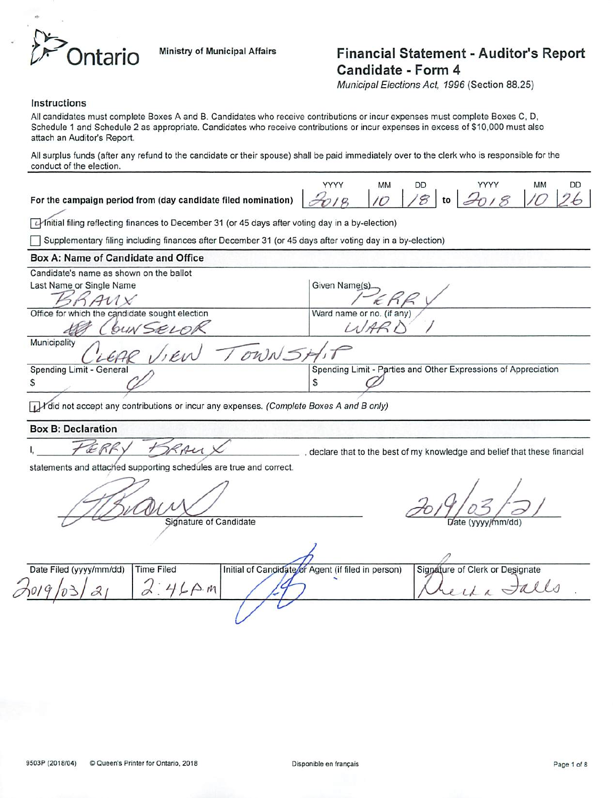

# *If If Ministry* of *Municipal Affairs* Financial Statement - Auditor's Report Candidate - Form <sup>4</sup>

**Municipal Elections** *Act* **1996** (Section 88.25)

#### *Instructions*

Allcandidates must complete Boxes A and B. Candidates who receive contributions or incur expenses must complete Boxes C, D, Schedule 1 and Schedule 2 as appropriate. Candidates who receive contributions or incur expenses in excess of \$10,000 must also attach an Auditor's Report.

Allsurplus funds (after any refund to the candidate or their spouse) shall be paid immediately over to the clerk who is responsible for the conduct of the election.

*For the campaign period from (day candidate filed nomination)*

| MM.             |     |              |                |
|-----------------|-----|--------------|----------------|
| 10 <sup>1</sup> | 1/8 | 1 to 2018 10 | $7\frac{6}{5}$ |

Initial filing reflecting finances to December 31 (or 45 days after voting day in a by-election)

] Supplementary filing including finances after December 31 (or 45days after voting day in a by-election)

### *Box A: Name of Candidate and Office*

| Candidate's name as shown on the ballot        |                                                                |
|------------------------------------------------|----------------------------------------------------------------|
| Last Name or Single Name                       | Given Name(s).                                                 |
|                                                |                                                                |
| Office for which the candidate sought election | Ward name or no. (if any)                                      |
| bun SELOR                                      |                                                                |
| Municipality<br>OWN =                          |                                                                |
| Spending Limit - General                       | Spending Limit - Parties and Other Expressions of Appreciation |
| S                                              | Φ                                                              |

**T**<sup>I</sup>did not accept any contributions or incur any expenses. (Complete Boxes A and B only)

### *Box B: Declaration*

I,  $\mathcal{I} \oplus \mathcal{I} \oplus \mathcal{I}$   $\mathcal{I} \rightarrow \mathcal{I}$ 

statements and attached supporting schedules are true and correct.

AV<br>Signature of Candidate **2019/03/2/** 

| Date Filed (yyyy/mm/dd) | Time Filed | Initial of Candidate or Agent (if filed in person) | Signature of Clerk or Designate |
|-------------------------|------------|----------------------------------------------------|---------------------------------|
|                         |            |                                                    |                                 |
|                         |            |                                                    |                                 |

 $\overline{1}$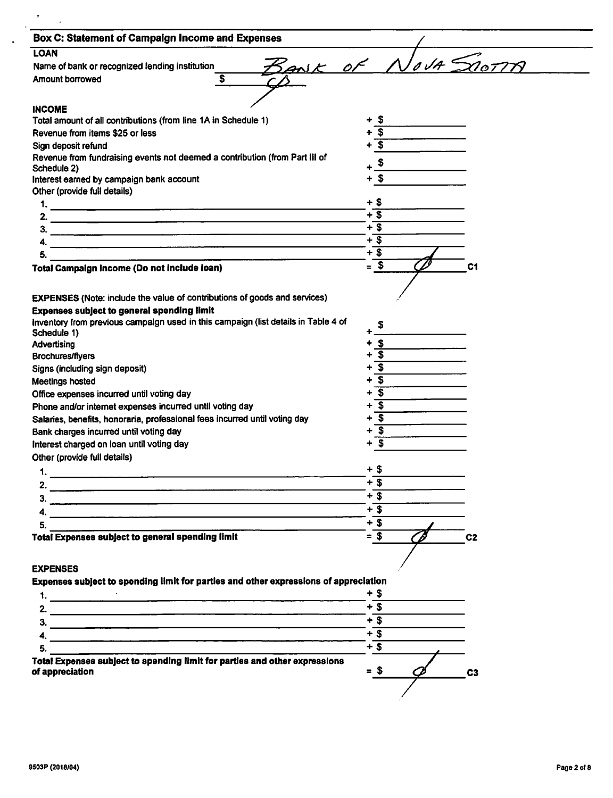| Box C: Statement of Campaign Income and Expenses                                                                                        |                                |
|-----------------------------------------------------------------------------------------------------------------------------------------|--------------------------------|
| <b>LOAN</b>                                                                                                                             |                                |
| Name of bank or recognized lending institution                                                                                          | BANK OF NOVA SOOTTA            |
| Amount borrowed<br>\$.                                                                                                                  |                                |
|                                                                                                                                         |                                |
| <b>INCOME</b>                                                                                                                           |                                |
| Total amount of all contributions (from line 1A in Schedule 1)                                                                          | $\boldsymbol{\mathsf{s}}$      |
| Revenue from items \$25 or less                                                                                                         | $\overline{\mathbf{3}}$        |
| Sign deposit refund                                                                                                                     | $\overline{\mathbf{3}}$        |
| Revenue from fundraising events not deemed a contribution (from Part III of                                                             |                                |
| Schedule 2)                                                                                                                             | \$                             |
| Interest earned by campaign bank account                                                                                                | + \$                           |
| Other (provide full details)                                                                                                            |                                |
|                                                                                                                                         | + \$                           |
|                                                                                                                                         | $+$ \$                         |
|                                                                                                                                         | $+$ \$                         |
| <u> 1980 - Jan Barat, margaret eta margolaria (h. 1980).</u>                                                                            | $+$ \$                         |
| 5.                                                                                                                                      | $+$ \$                         |
| Total Campaign Income (Do not include loan)                                                                                             | $= $$<br>C <sub>1</sub>        |
|                                                                                                                                         |                                |
|                                                                                                                                         |                                |
| <b>EXPENSES</b> (Note: include the value of contributions of goods and services)                                                        |                                |
| <b>Expenses subject to general spending limit</b><br>Inventory from previous campaign used in this campaign (list details in Table 4 of |                                |
| Schedule 1)                                                                                                                             | \$.                            |
| Advertising                                                                                                                             | $\sqrt[3]{2}$                  |
| <b>Brochures/flyers</b>                                                                                                                 | $+\overline{\mathbf{S}}$       |
| Signs (including sign deposit)                                                                                                          | $+\overline{\$}$               |
| Meetings hosted                                                                                                                         | $+$ \$                         |
| Office expenses incurred until voting day                                                                                               | $\sqrt{2}$<br>$\ddot{}$        |
| Phone and/or internet expenses incurred until voting day                                                                                | $\overline{\mathbf{s}}$        |
| Salaries, benefits, honoraria, professional fees incurred until voting day                                                              | $\overline{\mathbf{3}}$<br>٠   |
| Bank charges incurred until voting day                                                                                                  | $\boldsymbol{\mathsf{s}}$<br>٠ |
| Interest charged on loan until voting day                                                                                               | -\$                            |
| Other (provide full details)                                                                                                            |                                |
| 1.                                                                                                                                      | $+$ \$                         |
|                                                                                                                                         | $+$ \$                         |
| 2.                                                                                                                                      | $+$ \$                         |
| 3.                                                                                                                                      | $+$ \$                         |
| 4.                                                                                                                                      | $+$ \$                         |
| 5.<br><b>Total Expenses subject to general spending limit</b>                                                                           | $=$ \$                         |
|                                                                                                                                         | C <sub>2</sub>                 |
|                                                                                                                                         |                                |
| <b>EXPENSES</b>                                                                                                                         |                                |
| Expenses subject to spending limit for parties and other expressions of appreciation                                                    |                                |
| 1. $\qquad \qquad$                                                                                                                      | + S                            |
|                                                                                                                                         | $+$ \$                         |
|                                                                                                                                         | $+$ \$                         |
| 4.                                                                                                                                      | $+$ \$                         |
| 5.                                                                                                                                      | $+$ \$                         |
| Total Expenses subject to spending limit for parties and other expressions                                                              |                                |
| of appreciation                                                                                                                         | = \$<br>C <sub>3</sub>         |
|                                                                                                                                         |                                |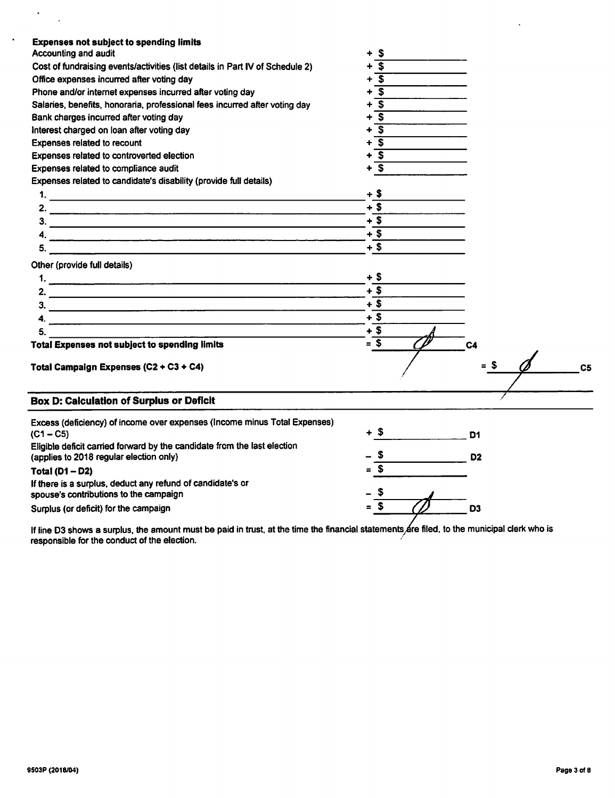| <b>Expenses not subject to spending limits</b>                                |                                        |                |
|-------------------------------------------------------------------------------|----------------------------------------|----------------|
| Accounting and audit                                                          | $\boldsymbol{\mathsf{s}}$              |                |
| Cost of fundraising events/activities (list details in Part IV of Schedule 2) | S                                      |                |
| Office expenses incurred after voting day                                     | $\overline{\mathbf{s}}$<br>$\ddotmark$ |                |
| Phone and/or internet expenses incurred after voting day                      | s.                                     |                |
| Salaries, benefits, honoraria, professional fees incurred after voting day    | $\overline{\mathbf{s}}$<br>٠           |                |
| Bank charges incurred after voting day                                        | $\overline{\mathbf{s}}$<br>۰           |                |
| Interest charged on loan after voting day                                     | $\overline{\mathbf{s}}$                |                |
| Expenses related to recount                                                   | $\overline{\mathbf{s}}$<br>÷           |                |
| Expenses related to controverted election                                     | $\overline{\mathbf{s}}$<br>+           |                |
| Expenses related to compliance audit                                          | $\overline{\mathbf{s}}$                |                |
| Expenses related to candidate's disability (provide full details)             |                                        |                |
|                                                                               | + \$                                   |                |
|                                                                               | $+$ \$                                 |                |
| $\overline{\mathbf{3.}}$ $\overline{\phantom{1.}}$                            | $+\overline{\$}$                       |                |
|                                                                               | $+$ \$                                 |                |
|                                                                               | $+$ \$                                 |                |
| Other (provide full details)                                                  |                                        |                |
|                                                                               | $+$ \$                                 |                |
|                                                                               | $+$ \$                                 |                |
|                                                                               | $+3$                                   |                |
|                                                                               | $+$ \$                                 |                |
|                                                                               | $+$ \$                                 |                |
| 5.                                                                            |                                        |                |
| <b>Total Expenses not subject to spending limits</b>                          | $= 5$                                  | C <sub>4</sub> |
| Total Campaign Expenses (C2 + C3 + C4)                                        |                                        | = S<br>C5      |
|                                                                               |                                        |                |
|                                                                               |                                        |                |
| <b>Box D: Calculation of Surplus or Deficit</b>                               |                                        |                |
| Excess (deficiency) of income over expenses (Income minus Total Expenses)     |                                        |                |
| $(C1 - C5)$                                                                   | + \$                                   | D1             |
| Eligible deficit carried forward by the candidate from the last election      |                                        |                |
| (applies to 2018 regular election only)                                       | S.                                     | D <sub>2</sub> |
| Total $(D1 - D2)$                                                             | $=$ S                                  |                |
| If there is a surplus, deduct any refund of candidate's or                    |                                        |                |
| spouse's contributions to the campaign                                        |                                        |                |
| Surplus (or deficit) for the campaign                                         | $\mathbf{s}$<br>$\blacksquare$         | D <sub>3</sub> |

If line D3 shows a surplus, the amount must be paid in trust, at the time the financial statements are filed, to the municipal clerk who is responsible for the conduct of the election.

 $\left\langle \cdot \right\rangle_{\mathbb{Z}}$ 

 $\sim$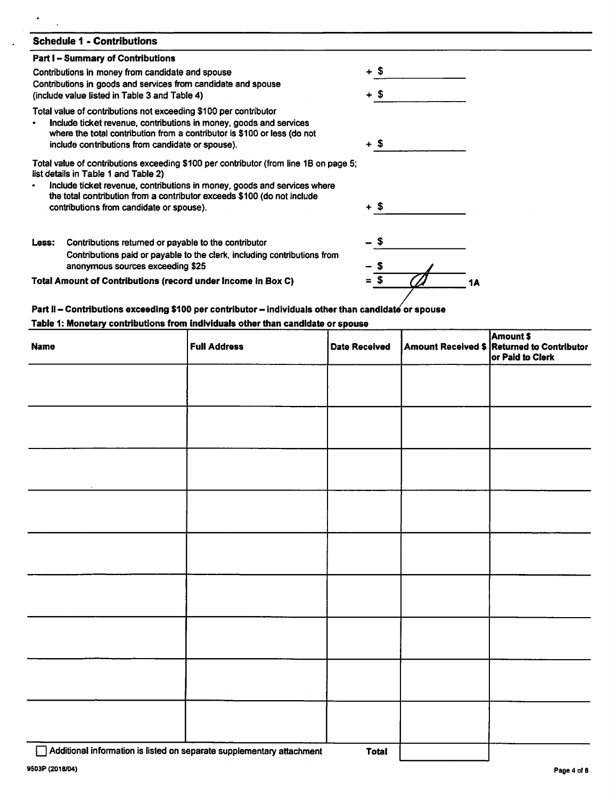| <b>Schedule 1 - Contributions</b>                                                                                                                                                                                                                                      |        |
|------------------------------------------------------------------------------------------------------------------------------------------------------------------------------------------------------------------------------------------------------------------------|--------|
| <b>Part I - Summary of Contributions</b>                                                                                                                                                                                                                               |        |
| Contributions in money from candidate and spouse                                                                                                                                                                                                                       | + \$   |
| Contributions in goods and services from candidate and spouse<br>(include value listed in Table 3 and Table 4)                                                                                                                                                         | + \$   |
| Total value of contributions not exceeding \$100 per contributor<br>Include ticket revenue, contributions in money, goods and services<br>where the total contribution from a contributor is \$100 or less (do not<br>include contributions from candidate or spouse). | $+$ \$ |
| Total value of contributions exceeding \$100 per contributor (from line 1B on page 5;<br>list details in Table 1 and Table 2)                                                                                                                                          |        |
| Include ticket revenue, contributions in money, goods and services where<br>the total contribution from a contributor exceeds \$100 (do not include                                                                                                                    |        |
| contributions from candidate or spouse).                                                                                                                                                                                                                               | + \$   |
| Contributions returned or payable to the contributor<br>Less:                                                                                                                                                                                                          | - \$   |
| Contributions paid or payable to the clerk, including contributions from<br>anonymous sources exceeding \$25                                                                                                                                                           |        |
| Total Amount of Contributions (record under Income in Box C)                                                                                                                                                                                                           | \$     |

### *Part II - Contributions exceeding \$100 per contributor- individuals other than candidate or spouse Table 1: Monetary contributions from individuals otherthan candidate or spouse*

| <b>Name</b> | <b>Full Address</b> | Date Received | <b>Amount \$</b><br>Amount Received \$ Returned to Contributor<br>or Paid to Clerk |
|-------------|---------------------|---------------|------------------------------------------------------------------------------------|
|             |                     |               |                                                                                    |
|             |                     |               |                                                                                    |
|             |                     |               |                                                                                    |
|             |                     |               |                                                                                    |
|             |                     |               |                                                                                    |
|             |                     |               |                                                                                    |
|             |                     |               |                                                                                    |
|             |                     |               |                                                                                    |
|             |                     |               |                                                                                    |

• Additional information islisted onseparate supplementary attachment *Total*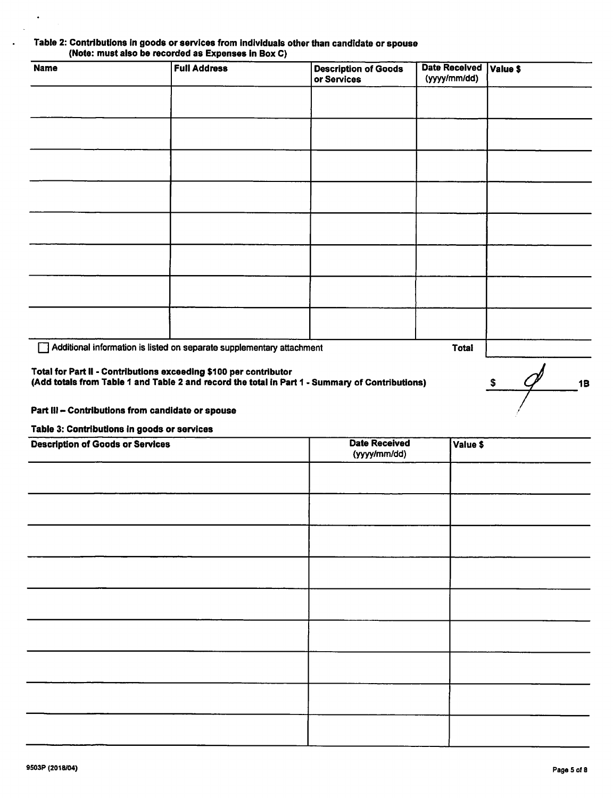### *Table 2: Contributions In goods or services from individuals otherthan candidate or spouse (Note: must also be recorded as Expenses in Box C)*

| <b>Name</b> | <b>Full Address</b>                                                   | <b>Description of Goods</b><br>or Services | Date Received Value \$<br>(yyyy/mm/dd) |  |
|-------------|-----------------------------------------------------------------------|--------------------------------------------|----------------------------------------|--|
|             |                                                                       |                                            |                                        |  |
|             |                                                                       |                                            |                                        |  |
|             |                                                                       |                                            |                                        |  |
|             |                                                                       |                                            |                                        |  |
|             |                                                                       |                                            |                                        |  |
|             |                                                                       |                                            |                                        |  |
|             |                                                                       |                                            |                                        |  |
|             |                                                                       |                                            |                                        |  |
| I 1         | Additional information is listed on separate supplementary attachment |                                            | <b>Total</b>                           |  |

### *Total for Part II - Contributions exceeding \$100 per contributor*

*(Add totals from Table 1 and Table 2 and record the total in Part 1 • Summary of Contributions)*

### *Part III - Contributions from candidate or spouse*

*Table 3: Contributions in goods or services*

| <b>Description of Goods or Services</b> | <b>Date Received</b><br>(yyyy/mm/dd) | Value \$ |
|-----------------------------------------|--------------------------------------|----------|
|                                         |                                      |          |
|                                         |                                      |          |
|                                         |                                      |          |
|                                         |                                      |          |
|                                         |                                      |          |
|                                         |                                      |          |
|                                         |                                      |          |
|                                         |                                      |          |
|                                         |                                      |          |

 $\bullet$ 

 $\frac{1}{2}$ 

**1B**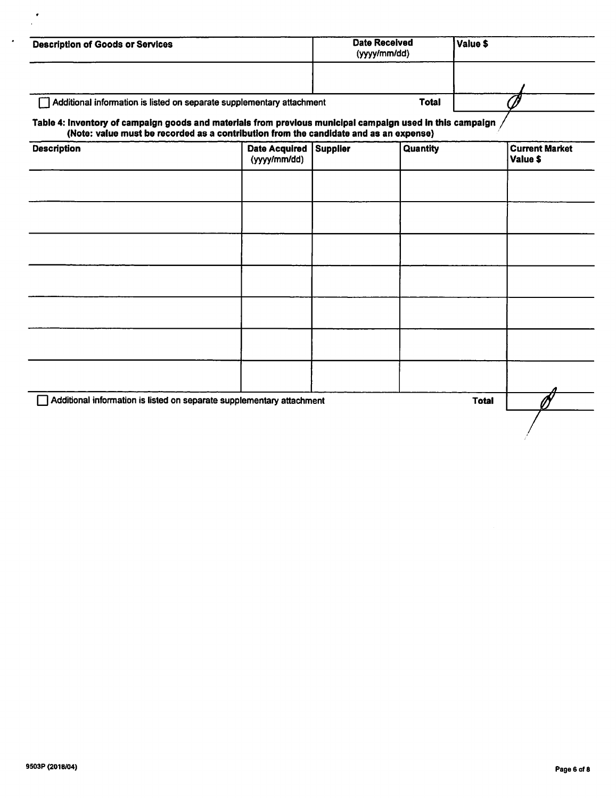| <b>Description of Goods or Services</b>                                                                                                                                                            |                                      |                 | <b>Date Received</b><br>(yyyy/mm/dd) | Value \$     |                                   |
|----------------------------------------------------------------------------------------------------------------------------------------------------------------------------------------------------|--------------------------------------|-----------------|--------------------------------------|--------------|-----------------------------------|
|                                                                                                                                                                                                    |                                      |                 |                                      |              |                                   |
| Additional information is listed on separate supplementary attachment                                                                                                                              |                                      |                 | <b>Total</b>                         |              |                                   |
| Table 4: Inventory of campaign goods and materials from previous municipal campaign used in this campaign<br>(Note: value must be recorded as a contribution from the candidate and as an expense) |                                      |                 |                                      |              |                                   |
| <b>Description</b>                                                                                                                                                                                 | <b>Date Acquired</b><br>(yyyy/mm/dd) | <b>Supplier</b> | Quantity                             |              | <b>Current Market</b><br>Value \$ |
|                                                                                                                                                                                                    |                                      |                 |                                      |              |                                   |
|                                                                                                                                                                                                    |                                      |                 |                                      |              |                                   |
|                                                                                                                                                                                                    |                                      |                 |                                      |              |                                   |
|                                                                                                                                                                                                    |                                      |                 |                                      |              |                                   |
|                                                                                                                                                                                                    |                                      |                 |                                      |              |                                   |
|                                                                                                                                                                                                    |                                      |                 |                                      |              |                                   |
|                                                                                                                                                                                                    |                                      |                 |                                      |              |                                   |
| Additional information is listed on separate supplementary attachment                                                                                                                              |                                      |                 |                                      | <b>Total</b> |                                   |
|                                                                                                                                                                                                    |                                      |                 |                                      |              |                                   |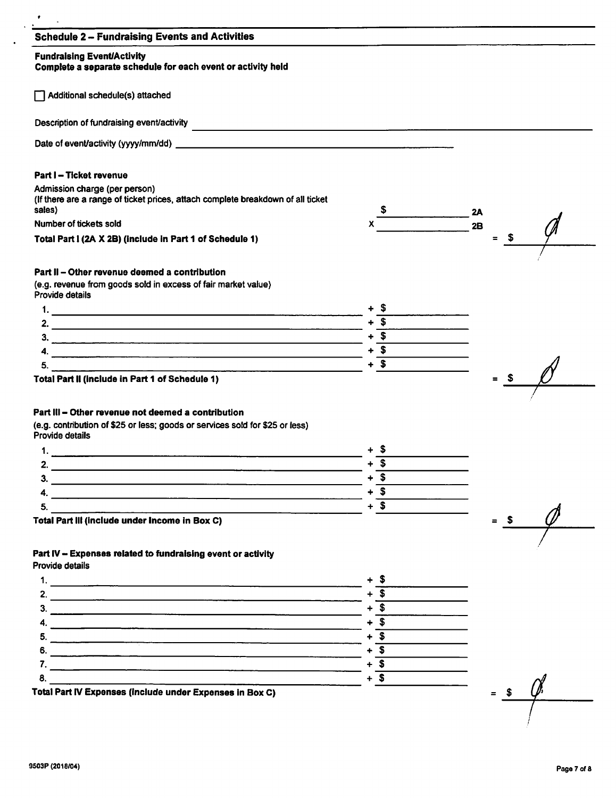### *Schedule 2 - Fundraising Events and Activities*

### *Fundraising Event/Activity*

### *Complete a separate schedule for each event or activity held*

 $\Box$  Additional schedule(s) attached

Description of fundraising event/activity

Date of event/activity (yyyy/mm/dd) **Date of event/activity (yyyy/mm/dd)** 

#### *Part I - Ticket revenue*

Admission charge (per person)

(If there are a range of ticket prices, attach complete breakdown of all ticket sales)

sales)<br>Number of tickets sold<br> $x$ <br> $2B = 3$ <br> $= 3$ *TotalPart I(2A X 2B)(include in Part 1 of Schedule 1) = \$*

#### *Part II - Other revenue deemed a contribution*

(e.g. revenue from goods sold in excess of fair market value) Provide details



*Total Part II(include in Part 1 of Schedule 1)*

### *Part III - Other revenue not deemed a contribution*

(e.g. contribution of \$25 or less; goods or services sold for \$25 or less) Provide details



## *Part IV- Expenses related to fundraising event or activity*

Provide details



*Total Part IV Expenses (include under Expenses In Box C) = \$*

*7*

<u>y"</u>

sales) \$ *2A*